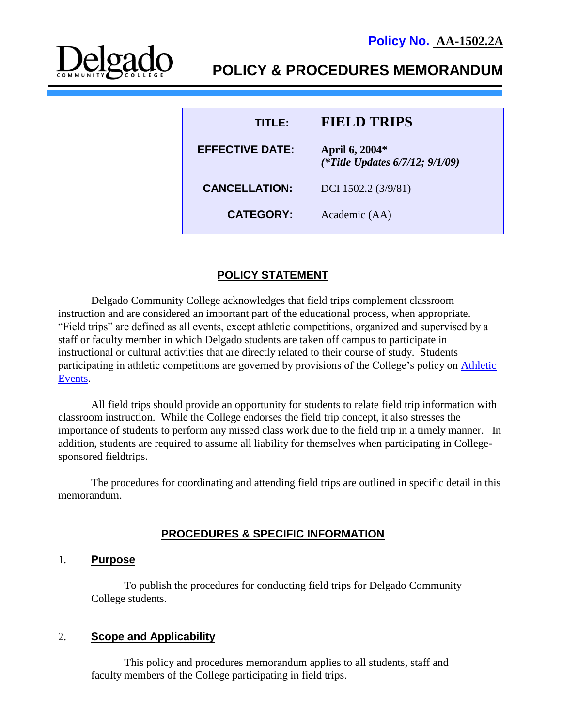

# **POLICY & PROCEDURES MEMORANDUM**

| TITI EA                | <b>FIELD TRIPS</b>                                      |
|------------------------|---------------------------------------------------------|
| <b>EFFECTIVE DATE:</b> | April 6, 2004*<br>(*Title Updates $6/7/12$ ; $9/1/09$ ) |
| <b>CANCELLATION:</b>   | DCI 1502.2 (3/9/81)                                     |
| <b>CATEGORY:</b>       | Academic (AA)                                           |

### **POLICY STATEMENT**

Delgado Community College acknowledges that field trips complement classroom instruction and are considered an important part of the educational process, when appropriate. "Field trips" are defined as all events, except athletic competitions, organized and supervised by a staff or faculty member in which Delgado students are taken off campus to participate in instructional or cultural activities that are directly related to their course of study. Students participating in athletic competitions are governed by provisions of the College's policy on [Athletic](http://docushare3.dcc.edu/docushare/dsweb/Get/Document-87)  [Events.](http://docushare3.dcc.edu/docushare/dsweb/Get/Document-87)

All field trips should provide an opportunity for students to relate field trip information with classroom instruction. While the College endorses the field trip concept, it also stresses the importance of students to perform any missed class work due to the field trip in a timely manner. In addition, students are required to assume all liability for themselves when participating in Collegesponsored fieldtrips.

The procedures for coordinating and attending field trips are outlined in specific detail in this memorandum.

# **PROCEDURES & SPECIFIC INFORMATION**

#### 1. **Purpose**

To publish the procedures for conducting field trips for Delgado Community College students.

#### 2. **Scope and Applicability**

This policy and procedures memorandum applies to all students, staff and faculty members of the College participating in field trips.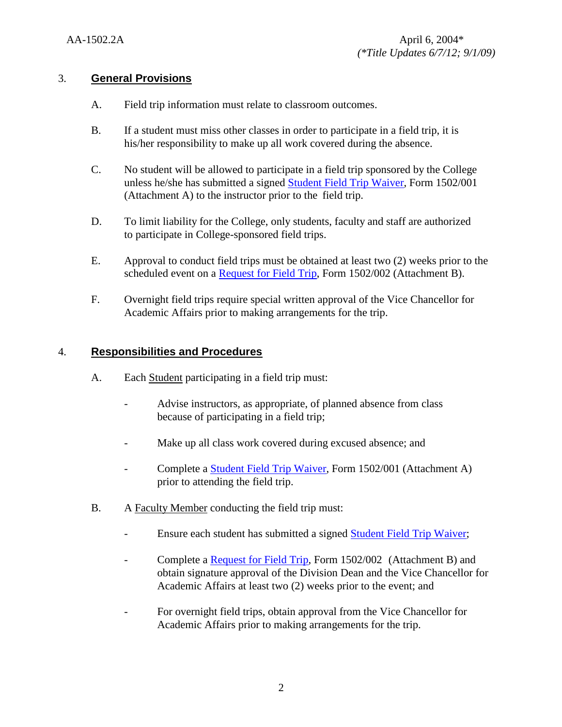### 3. **General Provisions**

- A. Field trip information must relate to classroom outcomes.
- B. If a student must miss other classes in order to participate in a field trip, it is his/her responsibility to make up all work covered during the absence.
- C. No student will be allowed to participate in a field trip sponsored by the College unless he/she has submitted a signed [Student Field Trip Waiver,](http://docushare3.dcc.edu/docushare/dsweb/Get/Document-885) Form 1502/001 (Attachment A) to the instructor prior to the field trip.
- D. To limit liability for the College, only students, faculty and staff are authorized to participate in College-sponsored field trips.
- E. Approval to conduct field trips must be obtained at least two (2) weeks prior to the scheduled event on a [Request for Field Trip,](http://docushare3.dcc.edu/docushare/dsweb/Get/Document-886) Form 1502/002 (Attachment B).
- F. Overnight field trips require special written approval of the Vice Chancellor for Academic Affairs prior to making arrangements for the trip.

## 4. **Responsibilities and Procedures**

- A. Each Student participating in a field trip must:
	- Advise instructors, as appropriate, of planned absence from class because of participating in a field trip;
	- Make up all class work covered during excused absence; and
	- Complete a [Student Field Trip Waiver,](http://docushare3.dcc.edu/docushare/dsweb/Get/Document-885) Form 1502/001 (Attachment A) prior to attending the field trip.
- B. A Faculty Member conducting the field trip must:
	- Ensure each student has submitted a signed **Student Field Trip Waiver**;
	- Complete a [Request for Field Trip,](http://docushare3.dcc.edu/docushare/dsweb/Get/Document-886) Form 1502/002 (Attachment B) and obtain signature approval of the Division Dean and the Vice Chancellor for Academic Affairs at least two (2) weeks prior to the event; and
	- For overnight field trips, obtain approval from the Vice Chancellor for Academic Affairs prior to making arrangements for the trip.